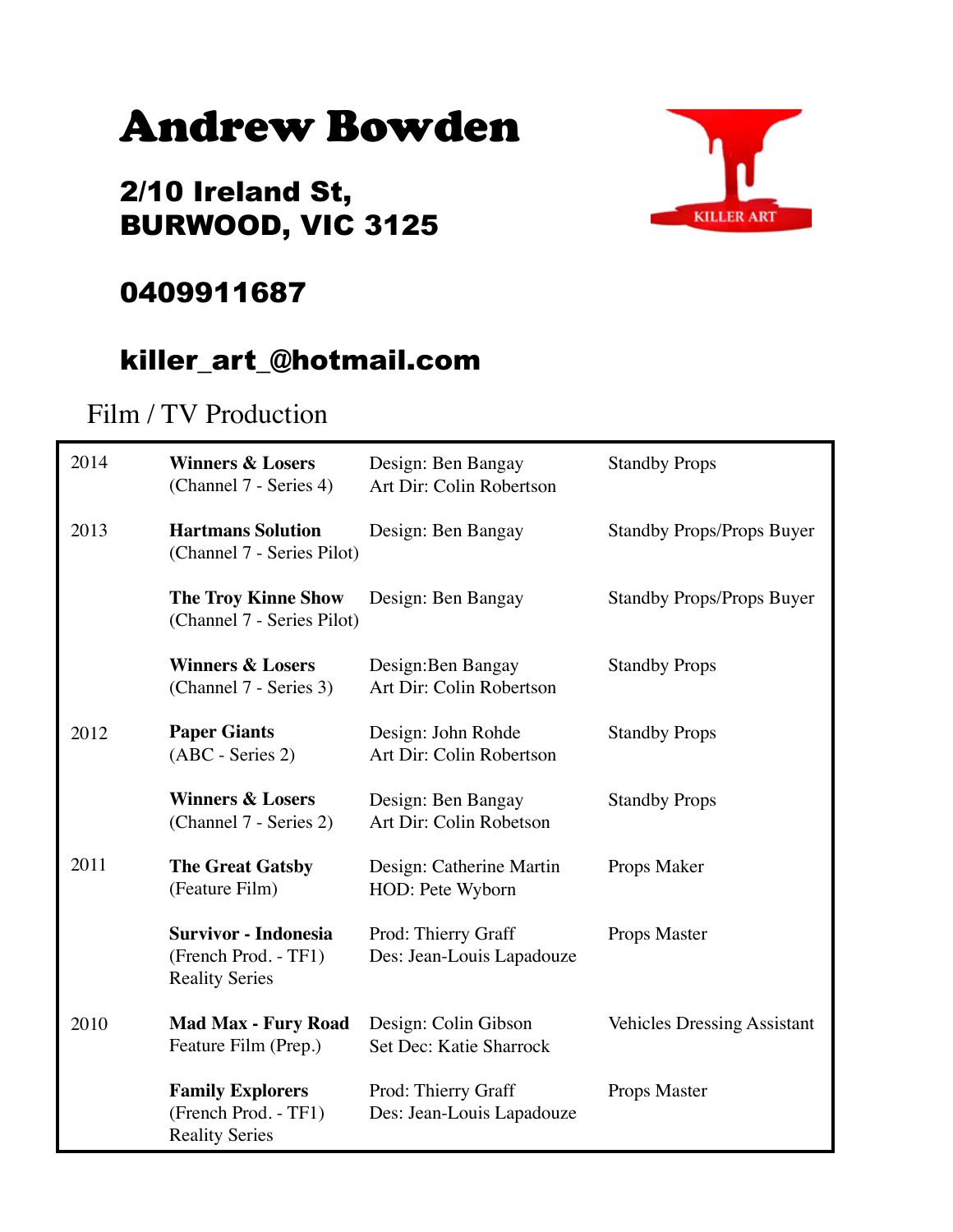# Andrew Bowden

### 2/10 Ireland St, BURWOOD, VIC 3125



#### 0409911687

#### killer\_art\_@hotmail.com

#### Film / TV Production

| 2014 | <b>Winners &amp; Losers</b><br>(Channel 7 - Series 4)                        | Design: Ben Bangay<br>Art Dir: Colin Robertson   | <b>Standby Props</b>               |
|------|------------------------------------------------------------------------------|--------------------------------------------------|------------------------------------|
| 2013 | <b>Hartmans Solution</b><br>(Channel 7 - Series Pilot)                       | Design: Ben Bangay                               | <b>Standby Props/Props Buyer</b>   |
|      | <b>The Troy Kinne Show</b><br>(Channel 7 - Series Pilot)                     | Design: Ben Bangay                               | <b>Standby Props/Props Buyer</b>   |
|      | <b>Winners &amp; Losers</b><br>(Channel 7 - Series 3)                        | Design: Ben Bangay<br>Art Dir: Colin Robertson   | <b>Standby Props</b>               |
| 2012 | <b>Paper Giants</b><br>(ABC - Series 2)                                      | Design: John Rohde<br>Art Dir: Colin Robertson   | <b>Standby Props</b>               |
|      | <b>Winners &amp; Losers</b><br>(Channel 7 - Series 2)                        | Design: Ben Bangay<br>Art Dir: Colin Robetson    | <b>Standby Props</b>               |
| 2011 | <b>The Great Gatsby</b><br>(Feature Film)                                    | Design: Catherine Martin<br>HOD: Pete Wyborn     | Props Maker                        |
|      | <b>Survivor - Indonesia</b><br>(French Prod. - TF1)<br><b>Reality Series</b> | Prod: Thierry Graff<br>Des: Jean-Louis Lapadouze | Props Master                       |
| 2010 | <b>Mad Max - Fury Road</b><br>Feature Film (Prep.)                           | Design: Colin Gibson<br>Set Dec: Katie Sharrock  | <b>Vehicles Dressing Assistant</b> |
|      | <b>Family Explorers</b><br>(French Prod. - TF1)<br><b>Reality Series</b>     | Prod: Thierry Graff<br>Des: Jean-Louis Lapadouze | Props Master                       |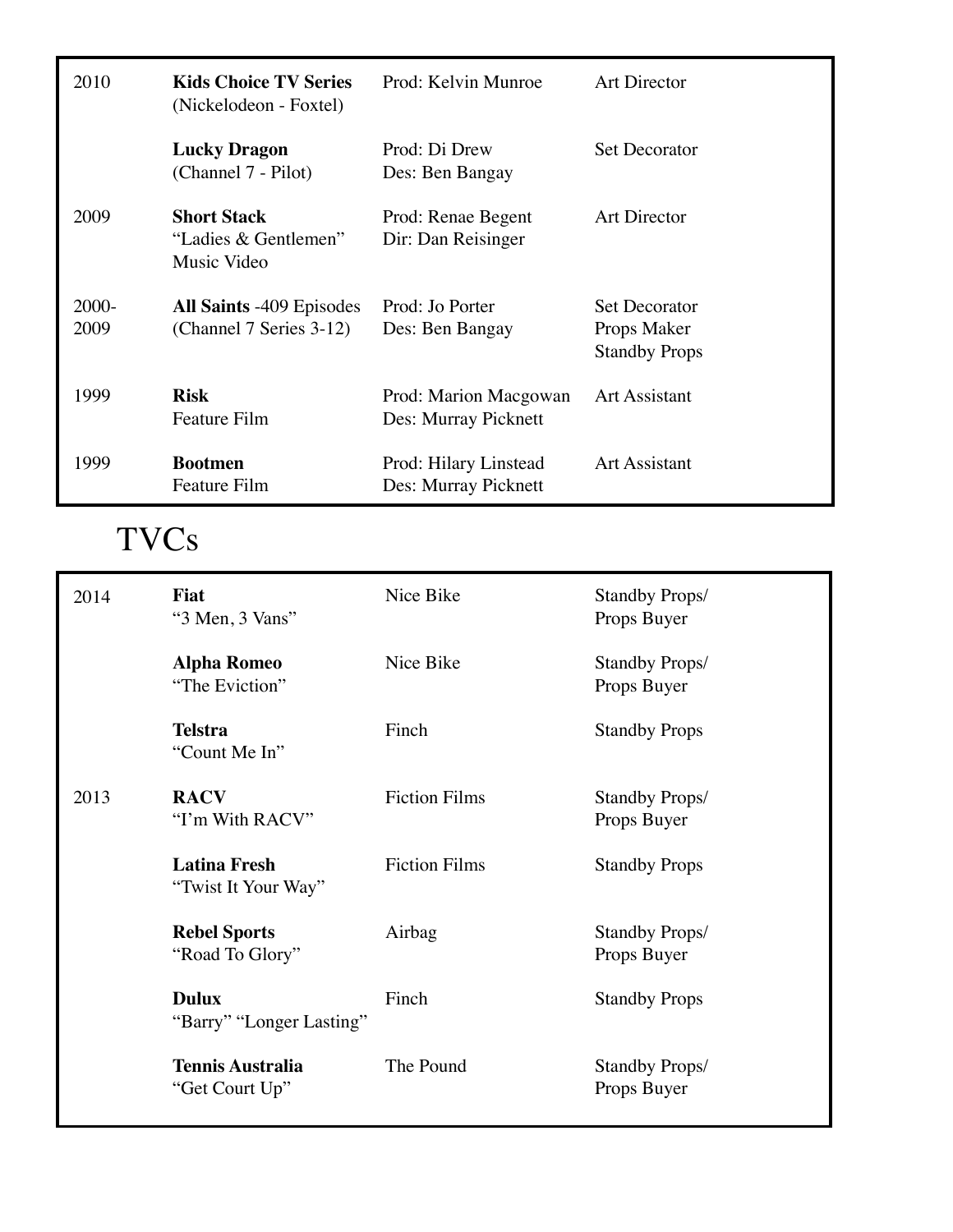| 2010             | <b>Kids Choice TV Series</b><br>(Nickelodeon - Foxtel)     | Prod: Kelvin Munroe                           | <b>Art Director</b>                                         |
|------------------|------------------------------------------------------------|-----------------------------------------------|-------------------------------------------------------------|
|                  | <b>Lucky Dragon</b><br>(Channel 7 - Pilot)                 | Prod: Di Drew<br>Des: Ben Bangay              | <b>Set Decorator</b>                                        |
| 2009             | <b>Short Stack</b><br>"Ladies & Gentlemen"<br>Music Video  | Prod: Renae Begent<br>Dir: Dan Reisinger      | <b>Art Director</b>                                         |
| $2000 -$<br>2009 | <b>All Saints -409 Episodes</b><br>(Channel 7 Series 3-12) | Prod: Jo Porter<br>Des: Ben Bangay            | <b>Set Decorator</b><br>Props Maker<br><b>Standby Props</b> |
| 1999             | <b>Risk</b><br><b>Feature Film</b>                         | Prod: Marion Macgowan<br>Des: Murray Picknett | <b>Art Assistant</b>                                        |
| 1999             | <b>Bootmen</b><br><b>Feature Film</b>                      | Prod: Hilary Linstead<br>Des: Murray Picknett | <b>Art Assistant</b>                                        |

## TVCs

| 2014 | <b>Fiat</b><br>"3 Men, 3 Vans"             | Nice Bike            | <b>Standby Props/</b><br>Props Buyer |
|------|--------------------------------------------|----------------------|--------------------------------------|
|      | <b>Alpha Romeo</b><br>"The Eviction"       | Nice Bike            | <b>Standby Props/</b><br>Props Buyer |
|      | <b>Telstra</b><br>"Count Me In"            | Finch                | <b>Standby Props</b>                 |
| 2013 | <b>RACV</b><br>"I'm With RACV"             | <b>Fiction Films</b> | <b>Standby Props/</b><br>Props Buyer |
|      | <b>Latina Fresh</b><br>"Twist It Your Way" | <b>Fiction Films</b> | <b>Standby Props</b>                 |
|      | <b>Rebel Sports</b><br>"Road To Glory"     | Airbag               | <b>Standby Props/</b><br>Props Buyer |
|      | <b>Dulux</b><br>"Barry" "Longer Lasting"   | Finch                | <b>Standby Props</b>                 |
|      | <b>Tennis Australia</b><br>"Get Court Up"  | The Pound            | <b>Standby Props/</b><br>Props Buyer |